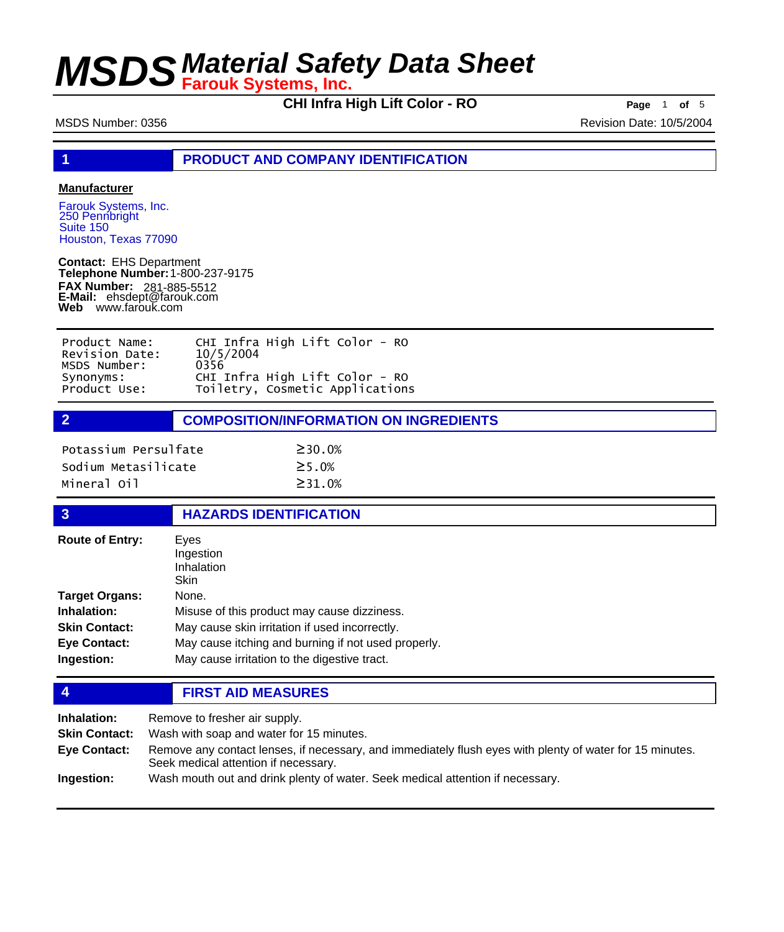**CHI Infra High Lift Color - RO Page** <sup>1</sup> **of** <sup>5</sup>

MSDS Number: 0356 **Revision Date: 10/5/2004** Revision Date: 10/5/2004

**1 PRODUCT AND COMPANY IDENTIFICATION**

### **Manufacturer**

Farouk Systems, Inc. 250 Pennbright Suite 150 Houston, Texas 77090

**Contact:** EHS Department **Telephone Number:** 1-800-237-9175 **FAX Number: FAX Number:** 281-885-5512<br>**E-Mail:** ehsdept@farouk.com **Web** www.farouk.com

| Product Name:  | CHI Infra High Lift Color - RO  |
|----------------|---------------------------------|
| Revision Date: | 10/5/2004                       |
| MSDS Number:   | 0356                            |
| Synonyms:      | CHI Infra High Lift Color - RO  |
| Product Use:   | Toiletry, Cosmetic Applications |

**2 COMPOSITION/INFORMATION ON INGREDIENTS**

| Potassium Persulfate | $\geq$ 30.0%  |
|----------------------|---------------|
| Sodium Metasilicate  | $\geq$ 5 . 0% |
| Mineral Oil          | $\geq$ 31.0%  |

### **3 HAZARDS IDENTIFICATION**

| <b>Route of Entry:</b> | Eves<br>Ingestion<br>Inhalation<br>Skin             |
|------------------------|-----------------------------------------------------|
| <b>Target Organs:</b>  | None.                                               |
| Inhalation:            | Misuse of this product may cause dizziness.         |
| <b>Skin Contact:</b>   | May cause skin irritation if used incorrectly.      |
| <b>Eye Contact:</b>    | May cause itching and burning if not used properly. |
| Ingestion:             | May cause irritation to the digestive tract.        |

**4 FIRST AID MEASURES**

| Inhalation:          | Remove to fresher air supply.                                                                                                                    |
|----------------------|--------------------------------------------------------------------------------------------------------------------------------------------------|
| <b>Skin Contact:</b> | Wash with soap and water for 15 minutes.                                                                                                         |
| Eye Contact:         | Remove any contact lenses, if necessary, and immediately flush eyes with plenty of water for 15 minutes.<br>Seek medical attention if necessary. |
| Ingestion:           | Wash mouth out and drink plenty of water. Seek medical attention if necessary.                                                                   |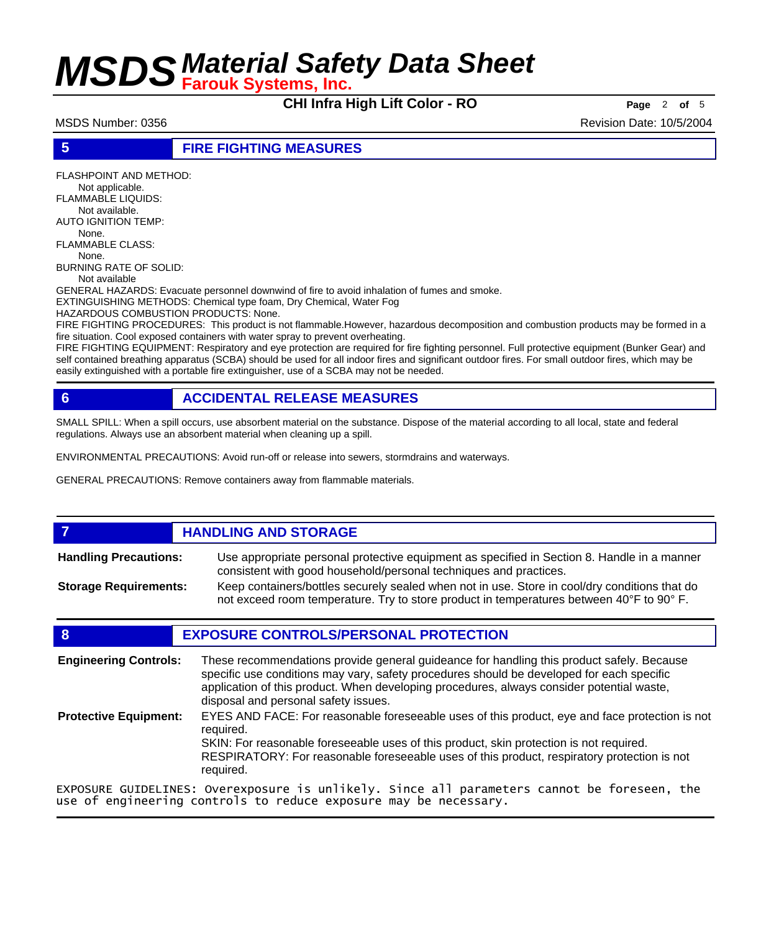**CHI Infra High Lift Color - RO Page** <sup>2</sup> **of** <sup>5</sup>

FLASHPOINT AND METHOD:

MSDS Number: 0356 Revision Date: 10/5/2004

## **5 FIRE FIGHTING MEASURES**

 Not applicable. FLAMMABLE LIQUIDS: Not available. AUTO IGNITION TEMP: None. FLAMMABLE CLASS: None. BURNING RATE OF SOLID: Not available GENERAL HAZARDS: Evacuate personnel downwind of fire to avoid inhalation of fumes and smoke. EXTINGUISHING METHODS: Chemical type foam, Dry Chemical, Water Fog HAZARDOUS COMBUSTION PRODUCTS: None. FIRE FIGHTING PROCEDURES: This product is not flammable.However, hazardous decomposition and combustion products may be formed in a fire situation. Cool exposed containers with water spray to prevent overheating.

FIRE FIGHTING EQUIPMENT: Respiratory and eye protection are required for fire fighting personnel. Full protective equipment (Bunker Gear) and self contained breathing apparatus (SCBA) should be used for all indoor fires and significant outdoor fires. For small outdoor fires, which may be easily extinguished with a portable fire extinguisher, use of a SCBA may not be needed.

## **6 ACCIDENTAL RELEASE MEASURES**

SMALL SPILL: When a spill occurs, use absorbent material on the substance. Dispose of the material according to all local, state and federal regulations. Always use an absorbent material when cleaning up a spill.

ENVIRONMENTAL PRECAUTIONS: Avoid run-off or release into sewers, stormdrains and waterways.

GENERAL PRECAUTIONS: Remove containers away from flammable materials.

### **7 HANDLING AND STORAGE** Use appropriate personal protective equipment as specified in Section 8. Handle in a manner consistent with good household/personal techniques and practices. **Handling Precautions:** Keep containers/bottles securely sealed when not in use. Store in cool/dry conditions that do not exceed room temperature. Try to store product in temperatures between 40°F to 90° F. **Storage Requirements:**

## **8 EXPOSURE CONTROLS/PERSONAL PROTECTION**

These recommendations provide general guideance for handling this product safely. Because specific use conditions may vary, safety procedures should be developed for each specific application of this product. When developing procedures, always consider potential waste, disposal and personal safety issues. **Engineering Controls:** EYES AND FACE: For reasonable foreseeable uses of this product, eye and face protection is not required. SKIN: For reasonable foreseeable uses of this product, skin protection is not required. RESPIRATORY: For reasonable foreseeable uses of this product, respiratory protection is not required. **Protective Equipment:** EXPOSURE GUIDELINES: Overexposure is unlikely. Since all parameters cannot be foreseen, the use of engineering controls to reduce exposure may be necessary.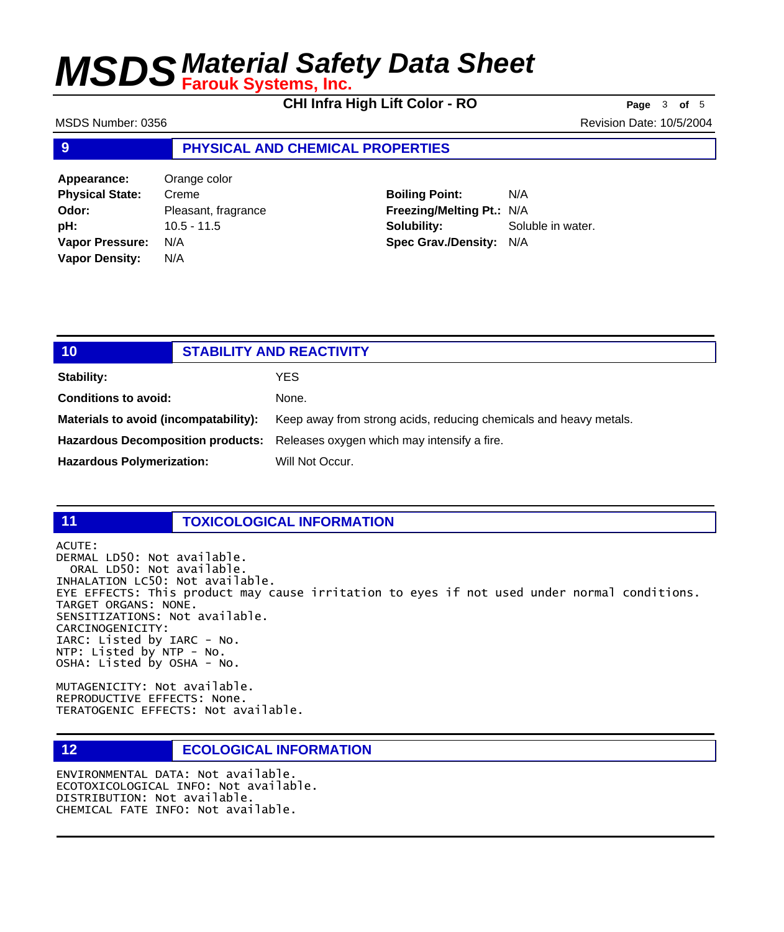**CHI Infra High Lift Color - RO Page** <sup>3</sup> **of** <sup>5</sup>

MSDS Number: 0356 Revision Date: 10/5/2004

## **9 PHYSICAL AND CHEMICAL PROPERTIES**

**Appearance:** Orange color **Physical State:** Creme **Odor:** Pleasant, fragrance **pH:** 10.5 - 11.5 **Vapor Pressure:** N/A **Vapor Density:** N/A

**Boiling Point:** N/A **Freezing/Melting Pt.:** N/A **Solubility:** Soluble in water. **Spec Grav./Density:** N/A

| 10                                    | <b>STABILITY AND REACTIVITY</b>                                               |
|---------------------------------------|-------------------------------------------------------------------------------|
| <b>Stability:</b>                     | YES.                                                                          |
| <b>Conditions to avoid:</b>           | None.                                                                         |
| Materials to avoid (incompatability): | Keep away from strong acids, reducing chemicals and heavy metals.             |
|                                       | Hazardous Decomposition products: Releases oxygen which may intensify a fire. |
| <b>Hazardous Polymerization:</b>      | Will Not Occur.                                                               |

## **11 TOXICOLOGICAL INFORMATION**

ACUTE: DERMAL LD50: Not available. ORAL LD50: Not available. INHALATION LC50: Not available. EYE EFFECTS: This product may cause irritation to eyes if not used under normal conditions. TARGET ORGANS: NONE. SENSITIZATIONS: Not available. CARCINOGENICITY: IARC: Listed by IARC - No. NTP: Listed by NTP - No. OSHA: Listed by OSHA - No.

MUTAGENICITY: Not available. REPRODUCTIVE EFFECTS: None. TERATOGENIC EFFECTS: Not available.

## **12 ECOLOGICAL INFORMATION**

ENVIRONMENTAL DATA: Not available. ECOTOXICOLOGICAL INFO: Not available. DISTRIBUTION: Not available. CHEMICAL FATE INFO: Not available.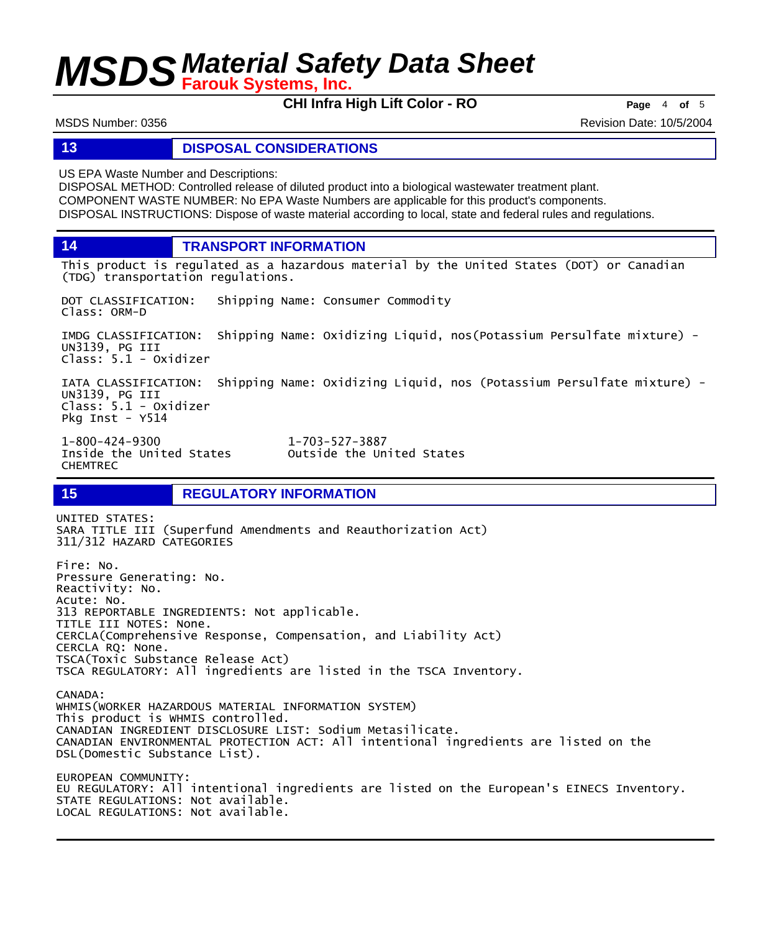**CHI Infra High Lift Color - RO Page** <sup>4</sup> **of** <sup>5</sup>

MSDS Number: 0356 Revision Date: 10/5/2004

## **13 DISPOSAL CONSIDERATIONS**

US EPA Waste Number and Descriptions:

DISPOSAL METHOD: Controlled release of diluted product into a biological wastewater treatment plant. COMPONENT WASTE NUMBER: No EPA Waste Numbers are applicable for this product's components. DISPOSAL INSTRUCTIONS: Dispose of waste material according to local, state and federal rules and regulations.

**14 TRANSPORT INFORMATION**

This product is regulated as a hazardous material by the United States (DOT) or Canadian (TDG) transportation regulations.

DOT CLASSIFICATION: Shipping Name: Consumer Commodity Class: ORM-D

IMDG CLASSIFICATION: Shipping Name: Oxidizing Liquid, nos(Potassium Persulfate mixture) - UN3139, PG III Class: 5.1 - Oxidizer

IATA CLASSIFICATION: Shipping Name: Oxidizing Liquid, nos (Potassium Persulfate mixture) - UN3139, PG III Class: 5.1 - Oxidizer Pkg Inst - Y514

1-800-424-9300 1-703-527-3887 CHEMTREC

DSL(Domestic Substance List).

Outside the United States

## **15 REGULATORY INFORMATION**

UNITED STATES: SARA TITLE III (Superfund Amendments and Reauthorization Act) 311/312 HAZARD CATEGORIES Fire: No. Pressure Generating: No. Reactivity: No. Acute: No. 313 REPORTABLE INGREDIENTS: Not applicable. TITLE III NOTES: None. CERCLA(Comprehensive Response, Compensation, and Liability Act) CERCLA RQ: None. TSCA(Toxic Substance Release Act) TSCA REGULATORY: All ingredients are listed in the TSCA Inventory. CANADA: WHMIS(WORKER HAZARDOUS MATERIAL INFORMATION SYSTEM) This product is WHMIS controlled. CANADIAN INGREDIENT DISCLOSURE LIST: Sodium Metasilicate. CANADIAN ENVIRONMENTAL PROTECTION ACT: All intentional ingredients are listed on the

EUROPEAN COMMUNITY: EU REGULATORY: All intentional ingredients are listed on the European's EINECS Inventory. STATE REGULATIONS: Not available. LOCAL REGULATIONS: Not available.